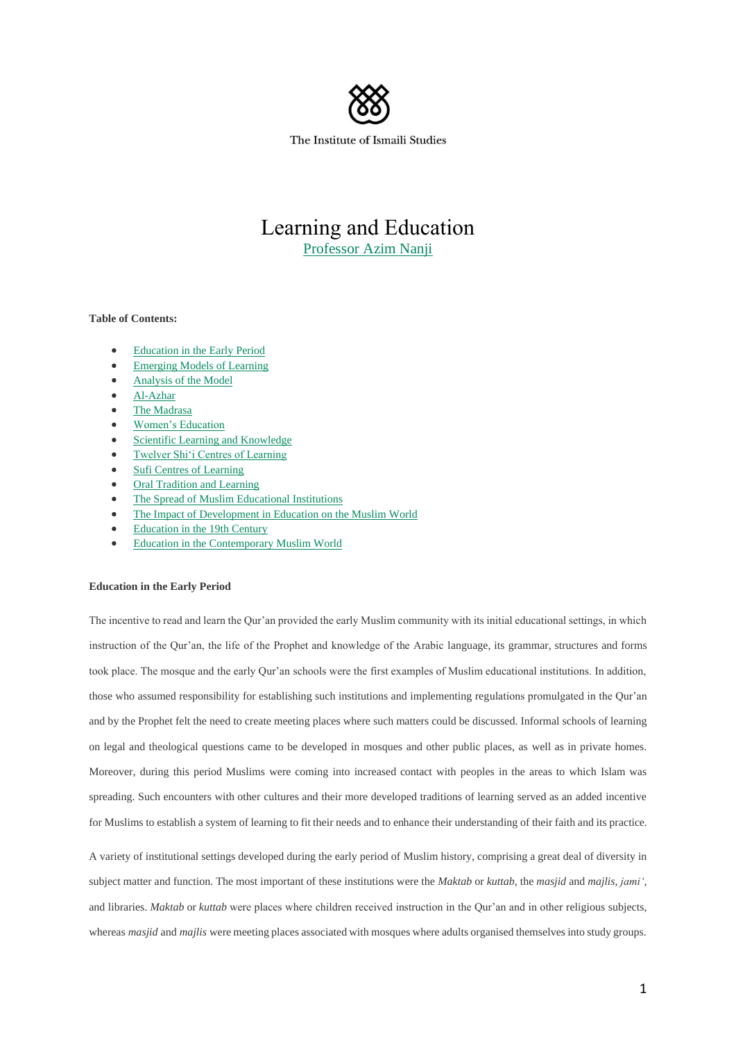

# Learning and Education Professor Azim Nanji

**Table of Contents:**

- Education in the Early Period
- Emerging Models of Learning
- Analysis of the Model
- Al-Azhar
- The Madrasa
- Women's Education
- Scientific Learning and Knowledge
- Twelver Shi'i Centres of Learning
- Sufi Centres of Learning
- Oral Tradition and Learning
- The Spread of Muslim Educational Institutions
- The Impact of Development in Education on the Muslim World
- Education in the 19th Century
- Education in the Contemporary Muslim World

## **Education in the Early Period**

The incentive to read and learn the Qur'an provided the early Muslim community with its initial educational settings, in which instruction of the Qur'an, the life of the Prophet and knowledge of the Arabic language, its grammar, structures and forms took place. The mosque and the early Qur'an schools were the first examples of Muslim educational institutions. In addition, those who assumed responsibility for establishing such institutions and implementing regulations promulgated in the Qur'an and by the Prophet felt the need to create meeting places where such matters could be discussed. Informal schools of learning on legal and theological questions came to be developed in mosques and other public places, as well as in private homes. Moreover, during this period Muslims were coming into increased contact with peoples in the areas to which Islam was spreading. Such encounters with other cultures and their more developed traditions of learning served as an added incentive for Muslims to establish a system of learning to fit their needs and to enhance their understanding of their faith and its practice.

A variety of institutional settings developed during the early period of Muslim history, comprising a great deal of diversity in subject matter and function. The most important of these institutions were the *Maktab* or *kuttab*, the *masjid* and *majlis*, *jami'*, and libraries. *Maktab* or *kuttab* were places where children received instruction in the Qur'an and in other religious subjects, whereas *masjid* and *majlis* were meeting places associated with mosques where adults organised themselves into study groups.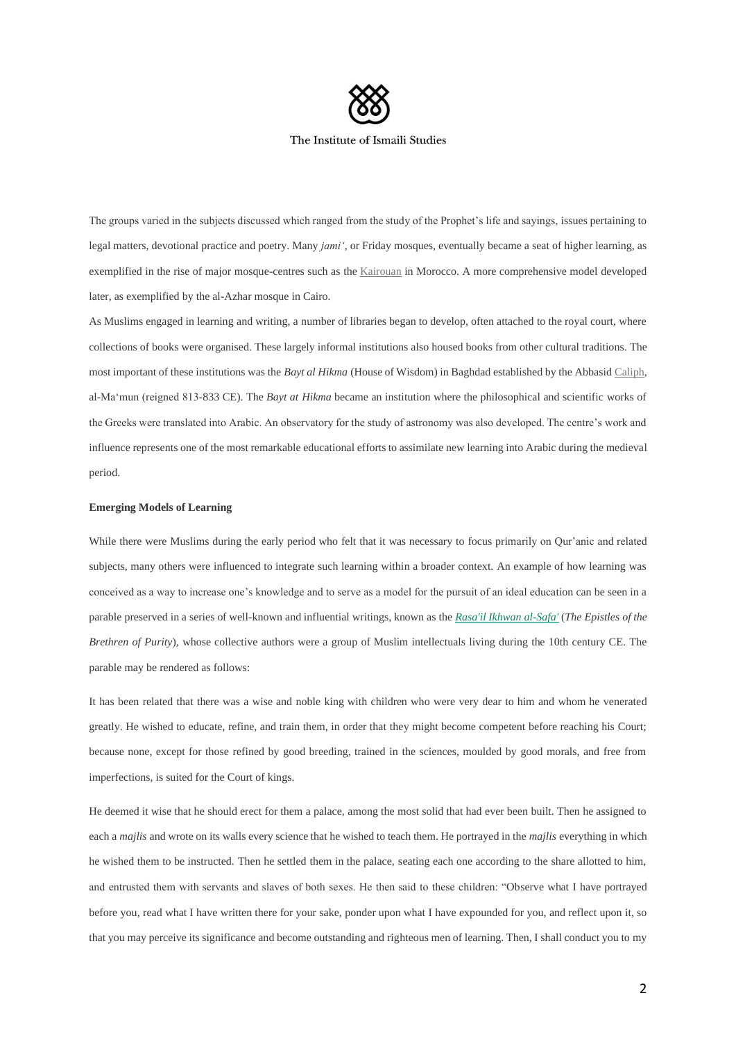

The groups varied in the subjects discussed which ranged from the study of the Prophet's life and sayings, issues pertaining to legal matters, devotional practice and poetry. Many *jami'*, or Friday mosques, eventually became a seat of higher learning, as exemplified in the rise of major mosque-centres such as the Kairouan in Morocco. A more comprehensive model developed later, as exemplified by the al-Azhar mosque in Cairo.

As Muslims engaged in learning and writing, a number of libraries began to develop, often attached to the royal court, where collections of books were organised. These largely informal institutions also housed books from other cultural traditions. The most important of these institutions was the *Bayt al Hikma* (House of Wisdom) in Baghdad established by the Abbasid Caliph, al-Ma'mun (reigned 813-833 CE). The *Bayt at Hikma* became an institution where the philosophical and scientific works of the Greeks were translated into Arabic. An observatory for the study of astronomy was also developed. The centre's work and influence represents one of the most remarkable educational efforts to assimilate new learning into Arabic during the medieval period.

## **Emerging Models of Learning**

While there were Muslims during the early period who felt that it was necessary to focus primarily on Our'anic and related subjects, many others were influenced to integrate such learning within a broader context. An example of how learning was conceived as a way to increase one's knowledge and to serve as a model for the pursuit of an ideal education can be seen in a parable preserved in a series of well-known and influential writings, known as the *Rasa'il Ikhwan al-Safa'* (*The Epistles of the Brethren of Purity*), whose collective authors were a group of Muslim intellectuals living during the 10th century CE. The parable may be rendered as follows:

It has been related that there was a wise and noble king with children who were very dear to him and whom he venerated greatly. He wished to educate, refine, and train them, in order that they might become competent before reaching his Court; because none, except for those refined by good breeding, trained in the sciences, moulded by good morals, and free from imperfections, is suited for the Court of kings.

He deemed it wise that he should erect for them a palace, among the most solid that had ever been built. Then he assigned to each a *majlis* and wrote on its walls every science that he wished to teach them. He portrayed in the *majlis* everything in which he wished them to be instructed. Then he settled them in the palace, seating each one according to the share allotted to him, and entrusted them with servants and slaves of both sexes. He then said to these children: "Observe what I have portrayed before you, read what I have written there for your sake, ponder upon what I have expounded for you, and reflect upon it, so that you may perceive its significance and become outstanding and righteous men of learning. Then, I shall conduct you to my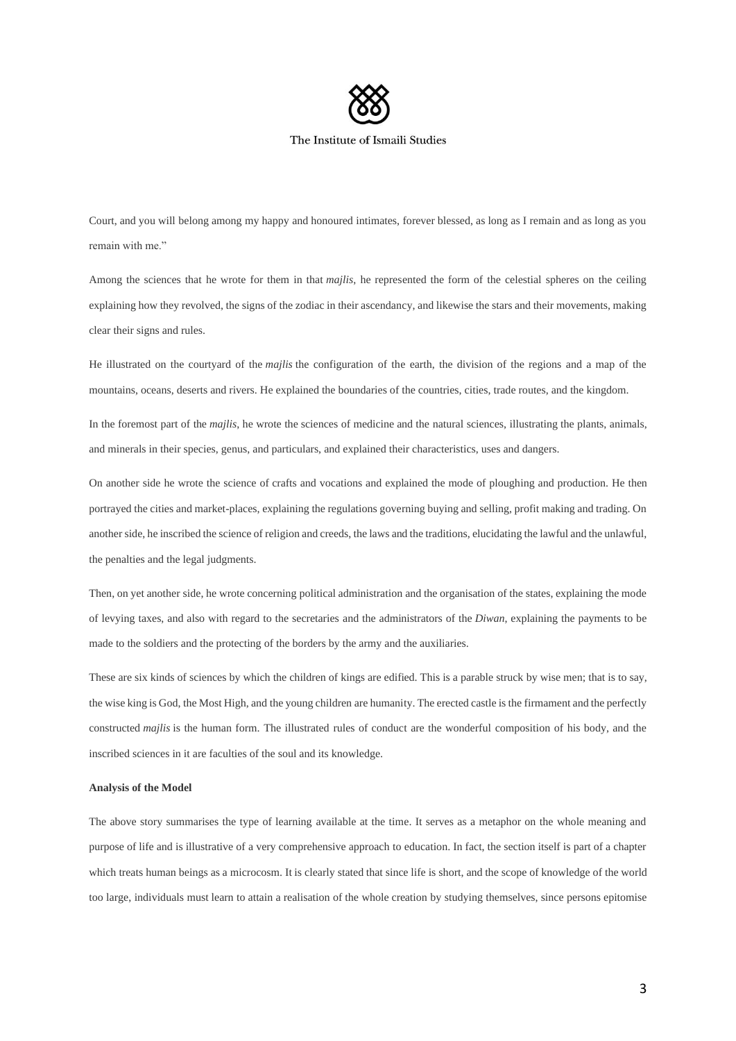

Court, and you will belong among my happy and honoured intimates, forever blessed, as long as I remain and as long as you remain with me."

Among the sciences that he wrote for them in that *majlis*, he represented the form of the celestial spheres on the ceiling explaining how they revolved, the signs of the zodiac in their ascendancy, and likewise the stars and their movements, making clear their signs and rules.

He illustrated on the courtyard of the *majlis* the configuration of the earth, the division of the regions and a map of the mountains, oceans, deserts and rivers. He explained the boundaries of the countries, cities, trade routes, and the kingdom.

In the foremost part of the *majlis*, he wrote the sciences of medicine and the natural sciences, illustrating the plants, animals, and minerals in their species, genus, and particulars, and explained their characteristics, uses and dangers.

On another side he wrote the science of crafts and vocations and explained the mode of ploughing and production. He then portrayed the cities and market-places, explaining the regulations governing buying and selling, profit making and trading. On another side, he inscribed the science of religion and creeds, the laws and the traditions, elucidating the lawful and the unlawful, the penalties and the legal judgments.

Then, on yet another side, he wrote concerning political administration and the organisation of the states, explaining the mode of levying taxes, and also with regard to the secretaries and the administrators of the *Diwan*, explaining the payments to be made to the soldiers and the protecting of the borders by the army and the auxiliaries.

These are six kinds of sciences by which the children of kings are edified. This is a parable struck by wise men; that is to say, the wise king is God, the Most High, and the young children are humanity. The erected castle is the firmament and the perfectly constructed *majlis* is the human form. The illustrated rules of conduct are the wonderful composition of his body, and the inscribed sciences in it are faculties of the soul and its knowledge.

#### **Analysis of the Model**

The above story summarises the type of learning available at the time. It serves as a metaphor on the whole meaning and purpose of life and is illustrative of a very comprehensive approach to education. In fact, the section itself is part of a chapter which treats human beings as a microcosm. It is clearly stated that since life is short, and the scope of knowledge of the world too large, individuals must learn to attain a realisation of the whole creation by studying themselves, since persons epitomise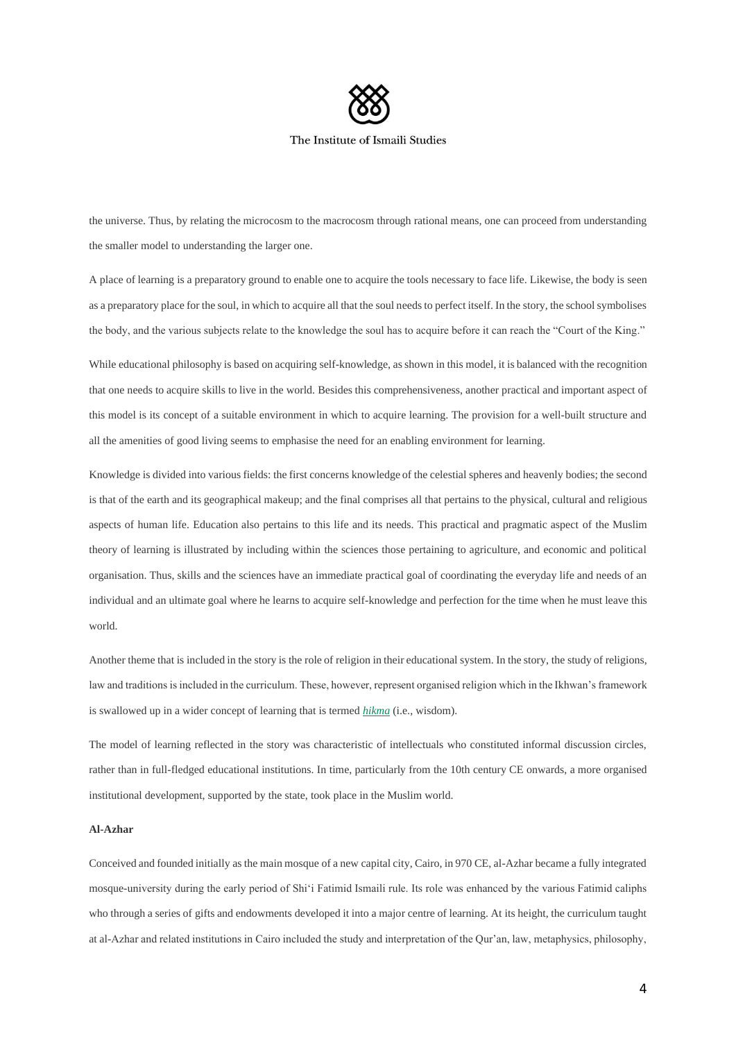

the universe. Thus, by relating the microcosm to the macrocosm through rational means, one can proceed from understanding the smaller model to understanding the larger one.

A place of learning is a preparatory ground to enable one to acquire the tools necessary to face life. Likewise, the body is seen as a preparatory place for the soul, in which to acquire all that the soul needs to perfect itself. In the story, the school symbolises the body, and the various subjects relate to the knowledge the soul has to acquire before it can reach the "Court of the King."

While educational philosophy is based on acquiring self-knowledge, as shown in this model, it is balanced with the recognition that one needs to acquire skills to live in the world. Besides this comprehensiveness, another practical and important aspect of this model is its concept of a suitable environment in which to acquire learning. The provision for a well-built structure and all the amenities of good living seems to emphasise the need for an enabling environment for learning.

Knowledge is divided into various fields: the first concerns knowledge of the celestial spheres and heavenly bodies; the second is that of the earth and its geographical makeup; and the final comprises all that pertains to the physical, cultural and religious aspects of human life. Education also pertains to this life and its needs. This practical and pragmatic aspect of the Muslim theory of learning is illustrated by including within the sciences those pertaining to agriculture, and economic and political organisation. Thus, skills and the sciences have an immediate practical goal of coordinating the everyday life and needs of an individual and an ultimate goal where he learns to acquire self-knowledge and perfection for the time when he must leave this world.

Another theme that is included in the story is the role of religion in their educational system. In the story, the study of religions, law and traditions is included in the curriculum. These, however, represent organised religion which in the Ikhwan's framework is swallowed up in a wider concept of learning that is termed *hikma* (i.e., wisdom).

The model of learning reflected in the story was characteristic of intellectuals who constituted informal discussion circles, rather than in full-fledged educational institutions. In time, particularly from the 10th century CE onwards, a more organised institutional development, supported by the state, took place in the Muslim world.

# **Al-Azhar**

Conceived and founded initially as the main mosque of a new capital city, Cairo, in 970 CE, al-Azhar became a fully integrated mosque-university during the early period of Shi'i Fatimid Ismaili rule. Its role was enhanced by the various Fatimid caliphs who through a series of gifts and endowments developed it into a major centre of learning. At its height, the curriculum taught at al-Azhar and related institutions in Cairo included the study and interpretation of the Qur'an, law, metaphysics, philosophy,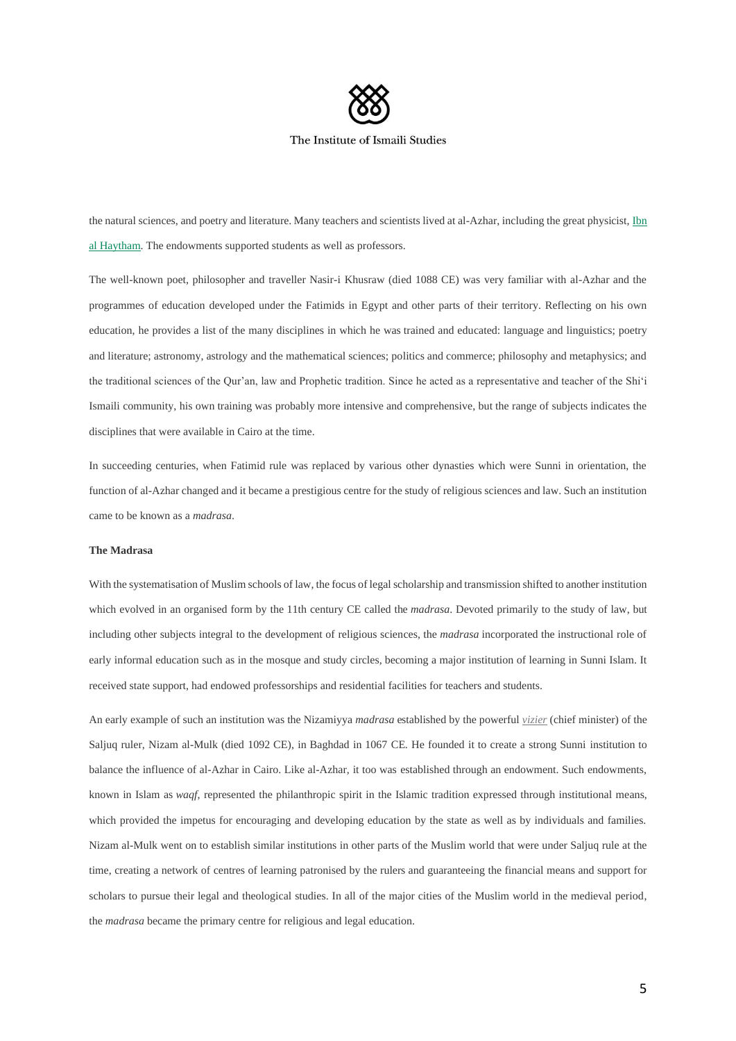

the natural sciences, and poetry and literature. Many teachers and scientists lived at al-Azhar, including the great physicist, Ibn al Haytham. The endowments supported students as well as professors.

The well-known poet, philosopher and traveller Nasir-i Khusraw (died 1088 CE) was very familiar with al-Azhar and the programmes of education developed under the Fatimids in Egypt and other parts of their territory. Reflecting on his own education, he provides a list of the many disciplines in which he was trained and educated: language and linguistics; poetry and literature; astronomy, astrology and the mathematical sciences; politics and commerce; philosophy and metaphysics; and the traditional sciences of the Qur'an, law and Prophetic tradition. Since he acted as a representative and teacher of the Shi'i Ismaili community, his own training was probably more intensive and comprehensive, but the range of subjects indicates the disciplines that were available in Cairo at the time.

In succeeding centuries, when Fatimid rule was replaced by various other dynasties which were Sunni in orientation, the function of al-Azhar changed and it became a prestigious centre for the study of religious sciences and law. Such an institution came to be known as a *madrasa*.

## **The Madrasa**

With the systematisation of Muslim schools of law, the focus of legal scholarship and transmission shifted to another institution which evolved in an organised form by the 11th century CE called the *madrasa*. Devoted primarily to the study of law, but including other subjects integral to the development of religious sciences, the *madrasa* incorporated the instructional role of early informal education such as in the mosque and study circles, becoming a major institution of learning in Sunni Islam. It received state support, had endowed professorships and residential facilities for teachers and students.

An early example of such an institution was the Nizamiyya *madrasa* established by the powerful *vizier* (chief minister) of the Saljuq ruler, Nizam al-Mulk (died 1092 CE), in Baghdad in 1067 CE. He founded it to create a strong Sunni institution to balance the influence of al-Azhar in Cairo. Like al-Azhar, it too was established through an endowment. Such endowments, known in Islam as *waqf*, represented the philanthropic spirit in the Islamic tradition expressed through institutional means, which provided the impetus for encouraging and developing education by the state as well as by individuals and families. Nizam al-Mulk went on to establish similar institutions in other parts of the Muslim world that were under Saljuq rule at the time, creating a network of centres of learning patronised by the rulers and guaranteeing the financial means and support for scholars to pursue their legal and theological studies. In all of the major cities of the Muslim world in the medieval period, the *madrasa* became the primary centre for religious and legal education.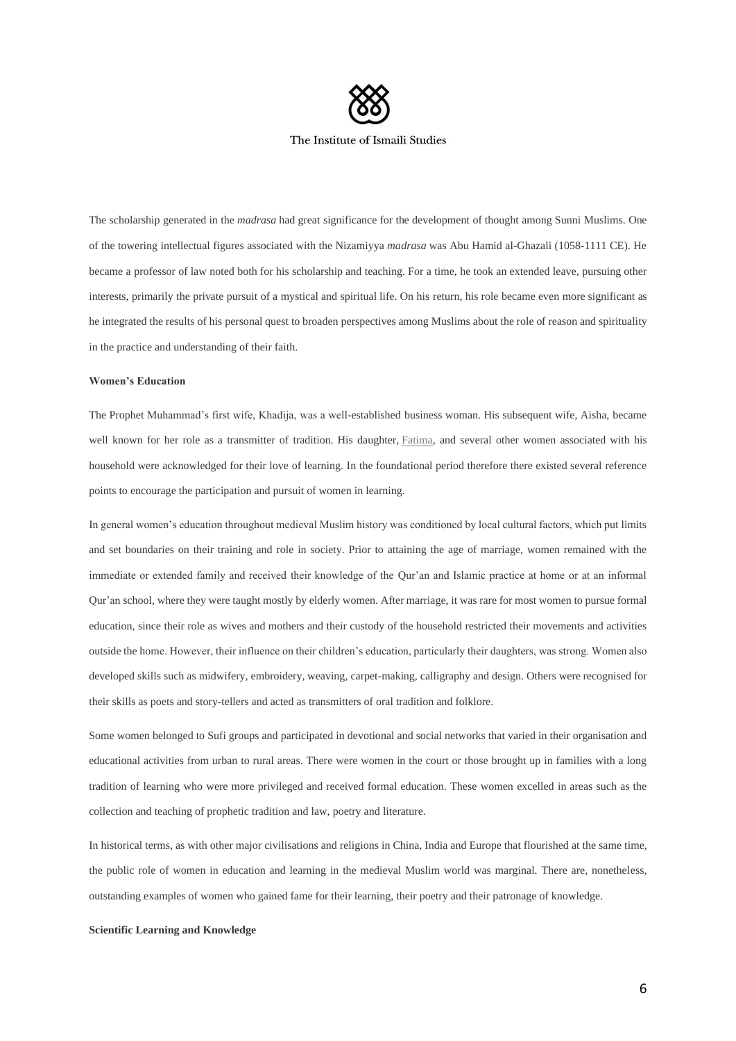

The scholarship generated in the *madrasa* had great significance for the development of thought among Sunni Muslims. One of the towering intellectual figures associated with the Nizamiyya *madrasa* was Abu Hamid al-Ghazali (1058-1111 CE). He became a professor of law noted both for his scholarship and teaching. For a time, he took an extended leave, pursuing other interests, primarily the private pursuit of a mystical and spiritual life. On his return, his role became even more significant as he integrated the results of his personal quest to broaden perspectives among Muslims about the role of reason and spirituality in the practice and understanding of their faith.

#### **Women's Education**

The Prophet Muhammad's first wife, Khadija, was a well-established business woman. His subsequent wife, Aisha, became well known for her role as a transmitter of tradition. His daughter, Fatima, and several other women associated with his household were acknowledged for their love of learning. In the foundational period therefore there existed several reference points to encourage the participation and pursuit of women in learning.

In general women's education throughout medieval Muslim history was conditioned by local cultural factors, which put limits and set boundaries on their training and role in society. Prior to attaining the age of marriage, women remained with the immediate or extended family and received their knowledge of the Qur'an and Islamic practice at home or at an informal Qur'an school, where they were taught mostly by elderly women. After marriage, it was rare for most women to pursue formal education, since their role as wives and mothers and their custody of the household restricted their movements and activities outside the home. However, their influence on their children's education, particularly their daughters, was strong. Women also developed skills such as midwifery, embroidery, weaving, carpet-making, calligraphy and design. Others were recognised for their skills as poets and story-tellers and acted as transmitters of oral tradition and folklore.

Some women belonged to Sufi groups and participated in devotional and social networks that varied in their organisation and educational activities from urban to rural areas. There were women in the court or those brought up in families with a long tradition of learning who were more privileged and received formal education. These women excelled in areas such as the collection and teaching of prophetic tradition and law, poetry and literature.

In historical terms, as with other major civilisations and religions in China, India and Europe that flourished at the same time, the public role of women in education and learning in the medieval Muslim world was marginal. There are, nonetheless, outstanding examples of women who gained fame for their learning, their poetry and their patronage of knowledge.

## **Scientific Learning and Knowledge**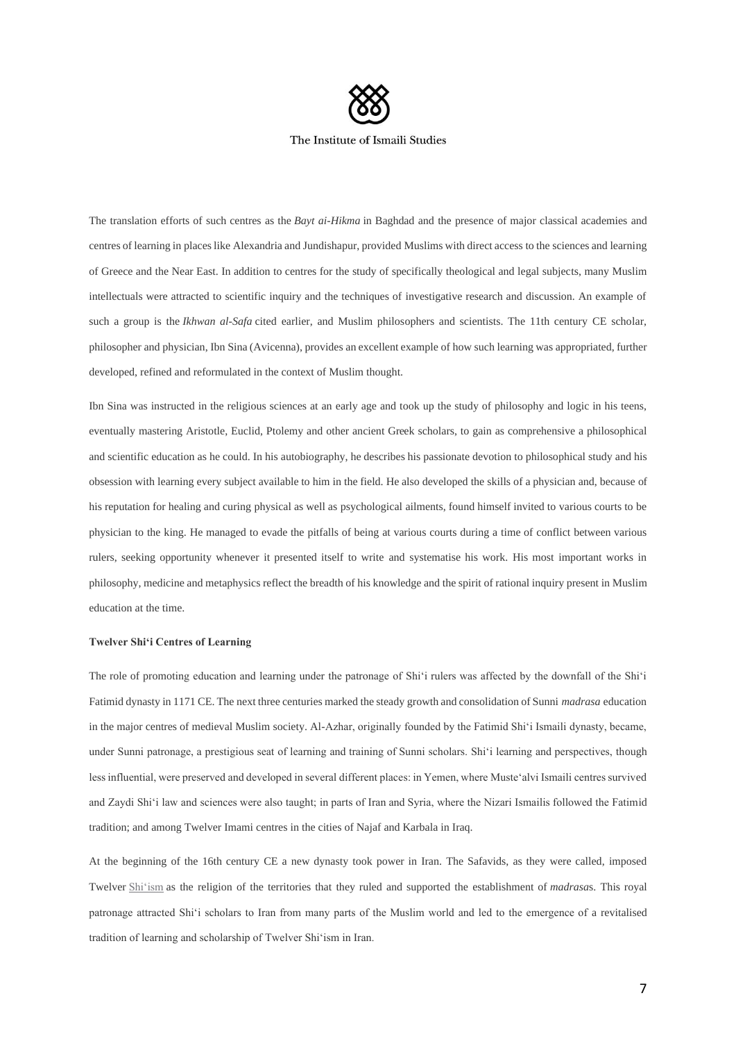

The translation efforts of such centres as the *Bayt ai-Hikma* in Baghdad and the presence of major classical academies and centres of learning in places like Alexandria and Jundishapur, provided Muslims with direct access to the sciences and learning of Greece and the Near East. In addition to centres for the study of specifically theological and legal subjects, many Muslim intellectuals were attracted to scientific inquiry and the techniques of investigative research and discussion. An example of such a group is the *Ikhwan al-Safa* cited earlier, and Muslim philosophers and scientists. The 11th century CE scholar, philosopher and physician, Ibn Sina (Avicenna), provides an excellent example of how such learning was appropriated, further developed, refined and reformulated in the context of Muslim thought.

Ibn Sina was instructed in the religious sciences at an early age and took up the study of philosophy and logic in his teens, eventually mastering Aristotle, Euclid, Ptolemy and other ancient Greek scholars, to gain as comprehensive a philosophical and scientific education as he could. In his autobiography, he describes his passionate devotion to philosophical study and his obsession with learning every subject available to him in the field. He also developed the skills of a physician and, because of his reputation for healing and curing physical as well as psychological ailments, found himself invited to various courts to be physician to the king. He managed to evade the pitfalls of being at various courts during a time of conflict between various rulers, seeking opportunity whenever it presented itself to write and systematise his work. His most important works in philosophy, medicine and metaphysics reflect the breadth of his knowledge and the spirit of rational inquiry present in Muslim education at the time.

## **Twelver Shi'i Centres of Learning**

The role of promoting education and learning under the patronage of Shi'i rulers was affected by the downfall of the Shi'i Fatimid dynasty in 1171 CE. The next three centuries marked the steady growth and consolidation of Sunni *madrasa* education in the major centres of medieval Muslim society. Al-Azhar, originally founded by the Fatimid Shi'i Ismaili dynasty, became, under Sunni patronage, a prestigious seat of learning and training of Sunni scholars. Shi'i learning and perspectives, though less influential, were preserved and developed in several different places: in Yemen, where Muste'alvi Ismaili centres survived and Zaydi Shi'i law and sciences were also taught; in parts of Iran and Syria, where the Nizari Ismailis followed the Fatimid tradition; and among Twelver Imami centres in the cities of Najaf and Karbala in Iraq.

At the beginning of the 16th century CE a new dynasty took power in Iran. The Safavids, as they were called, imposed Twelver Shi'ism as the religion of the territories that they ruled and supported the establishment of *madrasa*s. This royal patronage attracted Shi'i scholars to Iran from many parts of the Muslim world and led to the emergence of a revitalised tradition of learning and scholarship of Twelver Shi'ism in Iran.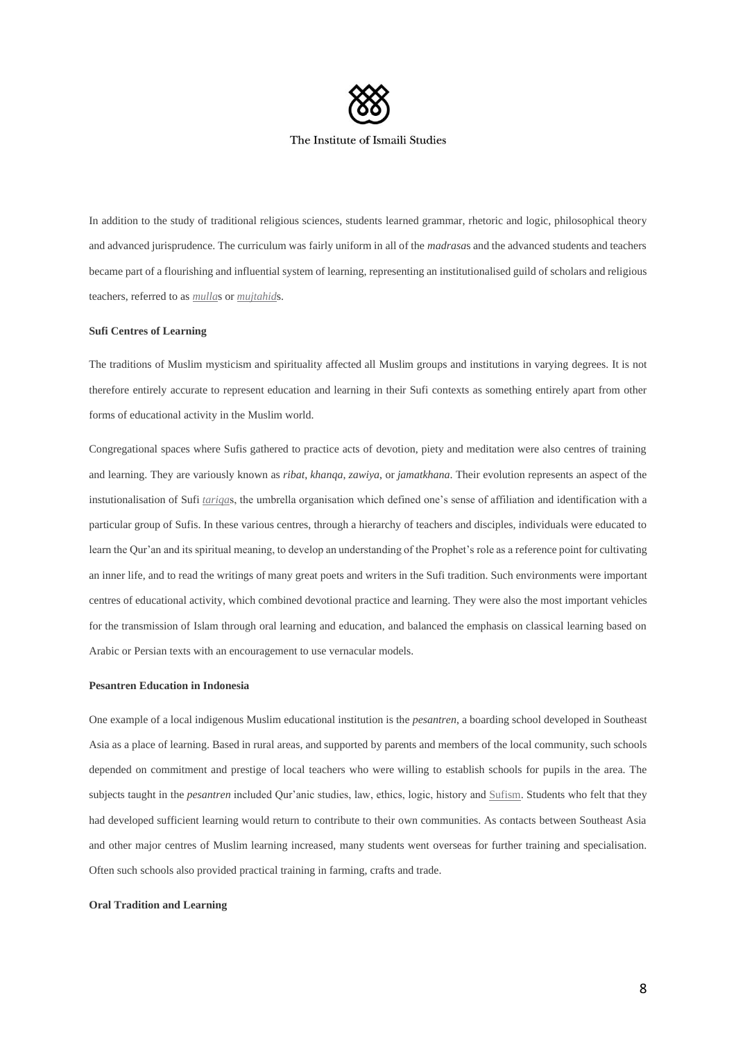

In addition to the study of traditional religious sciences, students learned grammar, rhetoric and logic, philosophical theory and advanced jurisprudence. The curriculum was fairly uniform in all of the *madrasa*s and the advanced students and teachers became part of a flourishing and influential system of learning, representing an institutionalised guild of scholars and religious teachers, referred to as *mulla*s or *mujtahid*s.

# **Sufi Centres of Learning**

The traditions of Muslim mysticism and spirituality affected all Muslim groups and institutions in varying degrees. It is not therefore entirely accurate to represent education and learning in their Sufi contexts as something entirely apart from other forms of educational activity in the Muslim world.

Congregational spaces where Sufis gathered to practice acts of devotion, piety and meditation were also centres of training and learning. They are variously known as *ribat*, *khanqa*, *zawiya*, or *jamatkhana*. Their evolution represents an aspect of the instutionalisation of Sufi *tariqa*s, the umbrella organisation which defined one's sense of affiliation and identification with a particular group of Sufis. In these various centres, through a hierarchy of teachers and disciples, individuals were educated to learn the Qur'an and its spiritual meaning, to develop an understanding of the Prophet's role as a reference point for cultivating an inner life, and to read the writings of many great poets and writers in the Sufi tradition. Such environments were important centres of educational activity, which combined devotional practice and learning. They were also the most important vehicles for the transmission of Islam through oral learning and education, and balanced the emphasis on classical learning based on Arabic or Persian texts with an encouragement to use vernacular models.

#### **Pesantren Education in Indonesia**

One example of a local indigenous Muslim educational institution is the *pesantren*, a boarding school developed in Southeast Asia as a place of learning. Based in rural areas, and supported by parents and members of the local community, such schools depended on commitment and prestige of local teachers who were willing to establish schools for pupils in the area. The subjects taught in the *pesantren* included Qur'anic studies, law, ethics, logic, history and Sufism. Students who felt that they had developed sufficient learning would return to contribute to their own communities. As contacts between Southeast Asia and other major centres of Muslim learning increased, many students went overseas for further training and specialisation. Often such schools also provided practical training in farming, crafts and trade.

#### **Oral Tradition and Learning**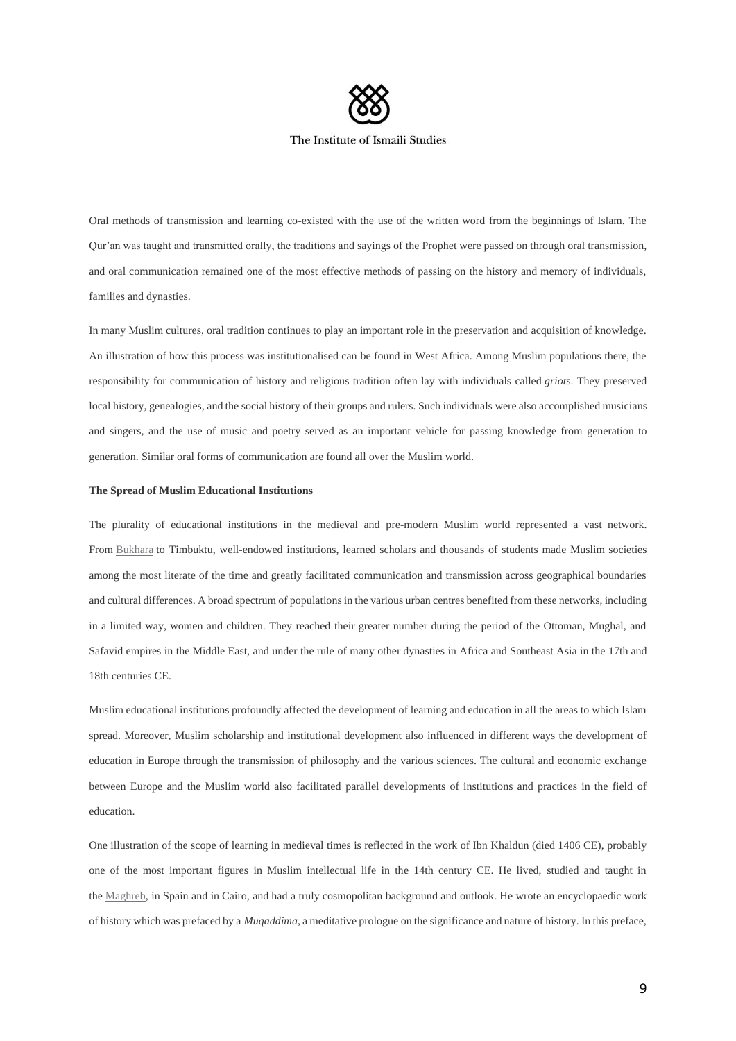

Oral methods of transmission and learning co-existed with the use of the written word from the beginnings of Islam. The Qur'an was taught and transmitted orally, the traditions and sayings of the Prophet were passed on through oral transmission, and oral communication remained one of the most effective methods of passing on the history and memory of individuals, families and dynasties.

In many Muslim cultures, oral tradition continues to play an important role in the preservation and acquisition of knowledge. An illustration of how this process was institutionalised can be found in West Africa. Among Muslim populations there, the responsibility for communication of history and religious tradition often lay with individuals called *griot*s. They preserved local history, genealogies, and the social history of their groups and rulers. Such individuals were also accomplished musicians and singers, and the use of music and poetry served as an important vehicle for passing knowledge from generation to generation. Similar oral forms of communication are found all over the Muslim world.

#### **The Spread of Muslim Educational Institutions**

The plurality of educational institutions in the medieval and pre-modern Muslim world represented a vast network. From Bukhara to Timbuktu, well-endowed institutions, learned scholars and thousands of students made Muslim societies among the most literate of the time and greatly facilitated communication and transmission across geographical boundaries and cultural differences. A broad spectrum of populations in the various urban centres benefited from these networks, including in a limited way, women and children. They reached their greater number during the period of the Ottoman, Mughal, and Safavid empires in the Middle East, and under the rule of many other dynasties in Africa and Southeast Asia in the 17th and 18th centuries CE.

Muslim educational institutions profoundly affected the development of learning and education in all the areas to which Islam spread. Moreover, Muslim scholarship and institutional development also influenced in different ways the development of education in Europe through the transmission of philosophy and the various sciences. The cultural and economic exchange between Europe and the Muslim world also facilitated parallel developments of institutions and practices in the field of education.

One illustration of the scope of learning in medieval times is reflected in the work of Ibn Khaldun (died 1406 CE), probably one of the most important figures in Muslim intellectual life in the 14th century CE. He lived, studied and taught in the Maghreb, in Spain and in Cairo, and had a truly cosmopolitan background and outlook. He wrote an encyclopaedic work of history which was prefaced by a *Muqaddima*, a meditative prologue on the significance and nature of history. In this preface,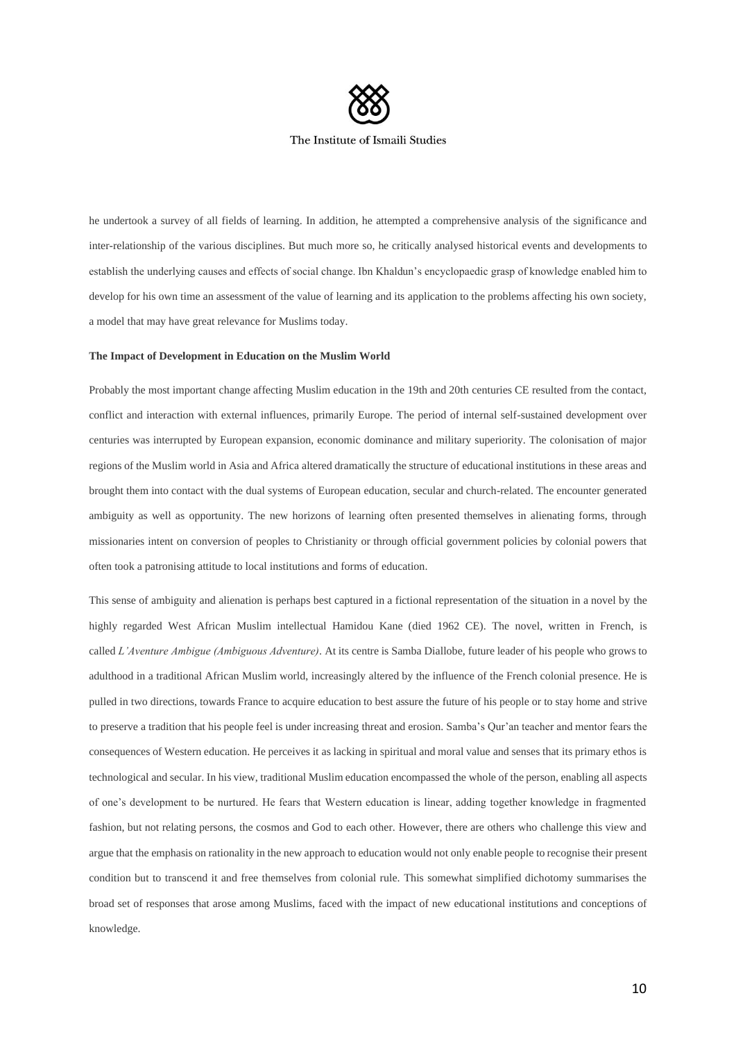

he undertook a survey of all fields of learning. In addition, he attempted a comprehensive analysis of the significance and inter-relationship of the various disciplines. But much more so, he critically analysed historical events and developments to establish the underlying causes and effects of social change. Ibn Khaldun's encyclopaedic grasp of knowledge enabled him to develop for his own time an assessment of the value of learning and its application to the problems affecting his own society, a model that may have great relevance for Muslims today.

#### **The Impact of Development in Education on the Muslim World**

Probably the most important change affecting Muslim education in the 19th and 20th centuries CE resulted from the contact, conflict and interaction with external influences, primarily Europe. The period of internal self-sustained development over centuries was interrupted by European expansion, economic dominance and military superiority. The colonisation of major regions of the Muslim world in Asia and Africa altered dramatically the structure of educational institutions in these areas and brought them into contact with the dual systems of European education, secular and church-related. The encounter generated ambiguity as well as opportunity. The new horizons of learning often presented themselves in alienating forms, through missionaries intent on conversion of peoples to Christianity or through official government policies by colonial powers that often took a patronising attitude to local institutions and forms of education.

This sense of ambiguity and alienation is perhaps best captured in a fictional representation of the situation in a novel by the highly regarded West African Muslim intellectual Hamidou Kane (died 1962 CE). The novel, written in French, is called *L'Aventure Ambigue (Ambiguous Adventure)*. At its centre is Samba Diallobe, future leader of his people who grows to adulthood in a traditional African Muslim world, increasingly altered by the influence of the French colonial presence. He is pulled in two directions, towards France to acquire education to best assure the future of his people or to stay home and strive to preserve a tradition that his people feel is under increasing threat and erosion. Samba's Qur'an teacher and mentor fears the consequences of Western education. He perceives it as lacking in spiritual and moral value and senses that its primary ethos is technological and secular. In his view, traditional Muslim education encompassed the whole of the person, enabling all aspects of one's development to be nurtured. He fears that Western education is linear, adding together knowledge in fragmented fashion, but not relating persons, the cosmos and God to each other. However, there are others who challenge this view and argue that the emphasis on rationality in the new approach to education would not only enable people to recognise their present condition but to transcend it and free themselves from colonial rule. This somewhat simplified dichotomy summarises the broad set of responses that arose among Muslims, faced with the impact of new educational institutions and conceptions of knowledge.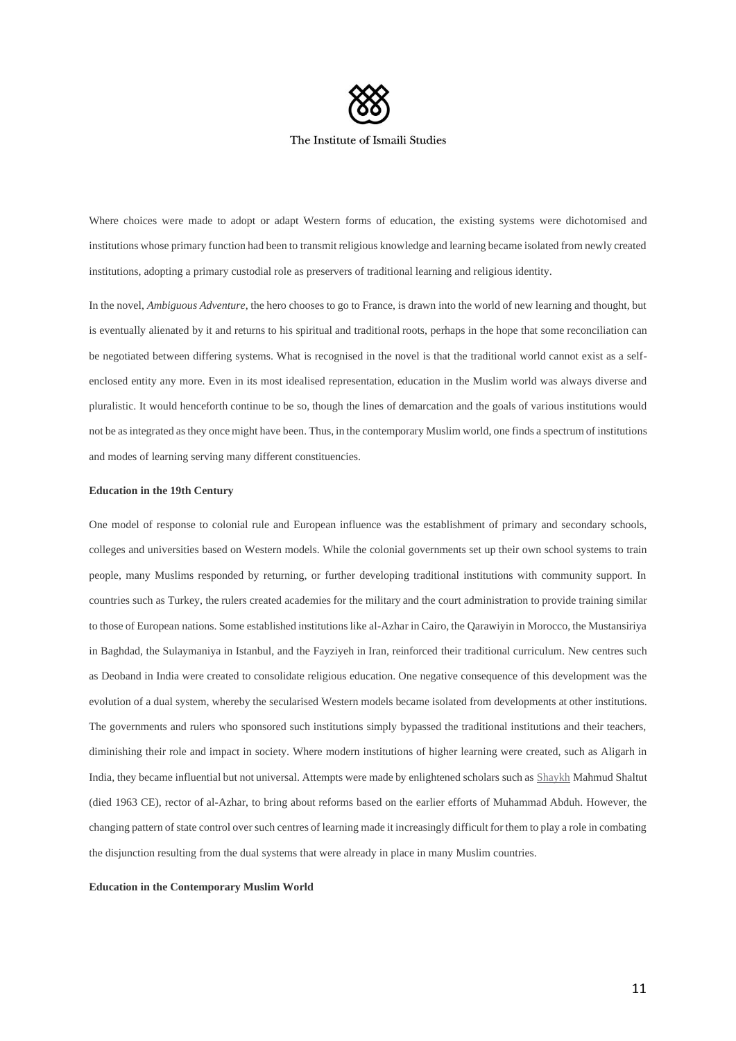

Where choices were made to adopt or adapt Western forms of education, the existing systems were dichotomised and institutions whose primary function had been to transmit religious knowledge and learning became isolated from newly created institutions, adopting a primary custodial role as preservers of traditional learning and religious identity.

In the novel, *Ambiguous Adventure*, the hero chooses to go to France, is drawn into the world of new learning and thought, but is eventually alienated by it and returns to his spiritual and traditional roots, perhaps in the hope that some reconciliation can be negotiated between differing systems. What is recognised in the novel is that the traditional world cannot exist as a selfenclosed entity any more. Even in its most idealised representation, education in the Muslim world was always diverse and pluralistic. It would henceforth continue to be so, though the lines of demarcation and the goals of various institutions would not be as integrated as they once might have been. Thus, in the contemporary Muslim world, one finds a spectrum of institutions and modes of learning serving many different constituencies.

#### **Education in the 19th Century**

One model of response to colonial rule and European influence was the establishment of primary and secondary schools, colleges and universities based on Western models. While the colonial governments set up their own school systems to train people, many Muslims responded by returning, or further developing traditional institutions with community support. In countries such as Turkey, the rulers created academies for the military and the court administration to provide training similar to those of European nations. Some established institutions like al-Azhar in Cairo, the Qarawiyin in Morocco, the Mustansiriya in Baghdad, the Sulaymaniya in Istanbul, and the Fayziyeh in Iran, reinforced their traditional curriculum. New centres such as Deoband in India were created to consolidate religious education. One negative consequence of this development was the evolution of a dual system, whereby the secularised Western models became isolated from developments at other institutions. The governments and rulers who sponsored such institutions simply bypassed the traditional institutions and their teachers, diminishing their role and impact in society. Where modern institutions of higher learning were created, such as Aligarh in India, they became influential but not universal. Attempts were made by enlightened scholars such as Shaykh Mahmud Shaltut (died 1963 CE), rector of al-Azhar, to bring about reforms based on the earlier efforts of Muhammad Abduh. However, the changing pattern of state control over such centres of learning made it increasingly difficult for them to play a role in combating the disjunction resulting from the dual systems that were already in place in many Muslim countries.

## **Education in the Contemporary Muslim World**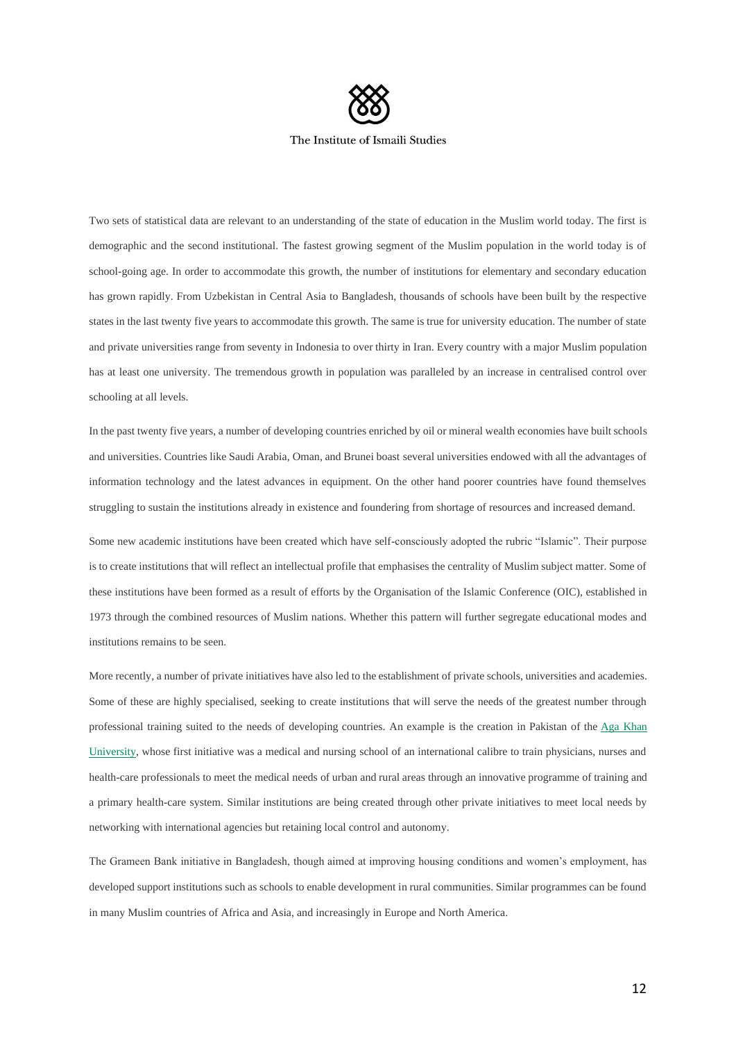

Two sets of statistical data are relevant to an understanding of the state of education in the Muslim world today. The first is demographic and the second institutional. The fastest growing segment of the Muslim population in the world today is of school-going age. In order to accommodate this growth, the number of institutions for elementary and secondary education has grown rapidly. From Uzbekistan in Central Asia to Bangladesh, thousands of schools have been built by the respective states in the last twenty five years to accommodate this growth. The same is true for university education. The number of state and private universities range from seventy in Indonesia to over thirty in Iran. Every country with a major Muslim population has at least one university. The tremendous growth in population was paralleled by an increase in centralised control over schooling at all levels.

In the past twenty five years, a number of developing countries enriched by oil or mineral wealth economies have built schools and universities. Countries like Saudi Arabia, Oman, and Brunei boast several universities endowed with all the advantages of information technology and the latest advances in equipment. On the other hand poorer countries have found themselves struggling to sustain the institutions already in existence and foundering from shortage of resources and increased demand.

Some new academic institutions have been created which have self-consciously adopted the rubric "Islamic". Their purpose is to create institutions that will reflect an intellectual profile that emphasises the centrality of Muslim subject matter. Some of these institutions have been formed as a result of efforts by the Organisation of the Islamic Conference (OIC), established in 1973 through the combined resources of Muslim nations. Whether this pattern will further segregate educational modes and institutions remains to be seen.

More recently, a number of private initiatives have also led to the establishment of private schools, universities and academies. Some of these are highly specialised, seeking to create institutions that will serve the needs of the greatest number through professional training suited to the needs of developing countries. An example is the creation in Pakistan of the Aga Khan University, whose first initiative was a medical and nursing school of an international calibre to train physicians, nurses and health-care professionals to meet the medical needs of urban and rural areas through an innovative programme of training and a primary health-care system. Similar institutions are being created through other private initiatives to meet local needs by networking with international agencies but retaining local control and autonomy.

The Grameen Bank initiative in Bangladesh, though aimed at improving housing conditions and women's employment, has developed support institutions such as schools to enable development in rural communities. Similar programmes can be found in many Muslim countries of Africa and Asia, and increasingly in Europe and North America.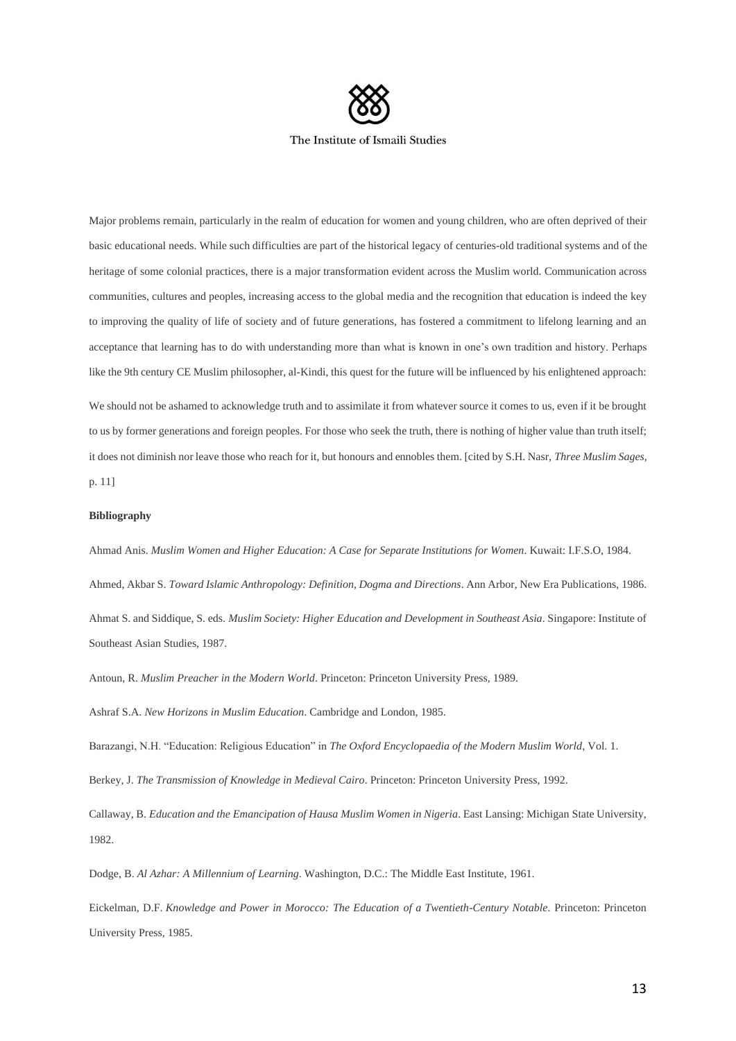

Major problems remain, particularly in the realm of education for women and young children, who are often deprived of their basic educational needs. While such difficulties are part of the historical legacy of centuries-old traditional systems and of the heritage of some colonial practices, there is a major transformation evident across the Muslim world. Communication across communities, cultures and peoples, increasing access to the global media and the recognition that education is indeed the key to improving the quality of life of society and of future generations, has fostered a commitment to lifelong learning and an acceptance that learning has to do with understanding more than what is known in one's own tradition and history. Perhaps like the 9th century CE Muslim philosopher, al-Kindi, this quest for the future will be influenced by his enlightened approach:

We should not be ashamed to acknowledge truth and to assimilate it from whatever source it comes to us, even if it be brought to us by former generations and foreign peoples. For those who seek the truth, there is nothing of higher value than truth itself; it does not diminish nor leave those who reach for it, but honours and ennobles them. [cited by S.H. Nasr, *Three Muslim Sages*, p. 11]

#### **Bibliography**

Ahmad Anis. *Muslim Women and Higher Education: A Case for Separate Institutions for Women*. Kuwait: I.F.S.O, 1984. Ahmed, Akbar S. *Toward Islamic Anthropology: Definition, Dogma and Directions*. Ann Arbor, New Era Publications, 1986. Ahmat S. and Siddique, S. eds. *Muslim Society: Higher Education and Development in Southeast Asia*. Singapore: Institute of Southeast Asian Studies, 1987.

Antoun, R. *Muslim Preacher in the Modern World*. Princeton: Princeton University Press, 1989.

Ashraf S.A. *New Horizons in Muslim Education*. Cambridge and London, 1985.

Barazangi, N.H. "Education: Religious Education" in *The Oxford Encyclopaedia of the Modern Muslim World*, Vol. 1.

Berkey, J. *The Transmission of Knowledge in Medieval Cairo*. Princeton: Princeton University Press, 1992.

Callaway, B. *Education and the Emancipation of Hausa Muslim Women in Nigeria*. East Lansing: Michigan State University, 1982.

Dodge, B. *Al Azhar: A Millennium of Learning*. Washington, D.C.: The Middle East Institute, 1961.

Eickelman, D.F. *Knowledge and Power in Morocco: The Education of a Twentieth-Century Notable*. Princeton: Princeton University Press, 1985.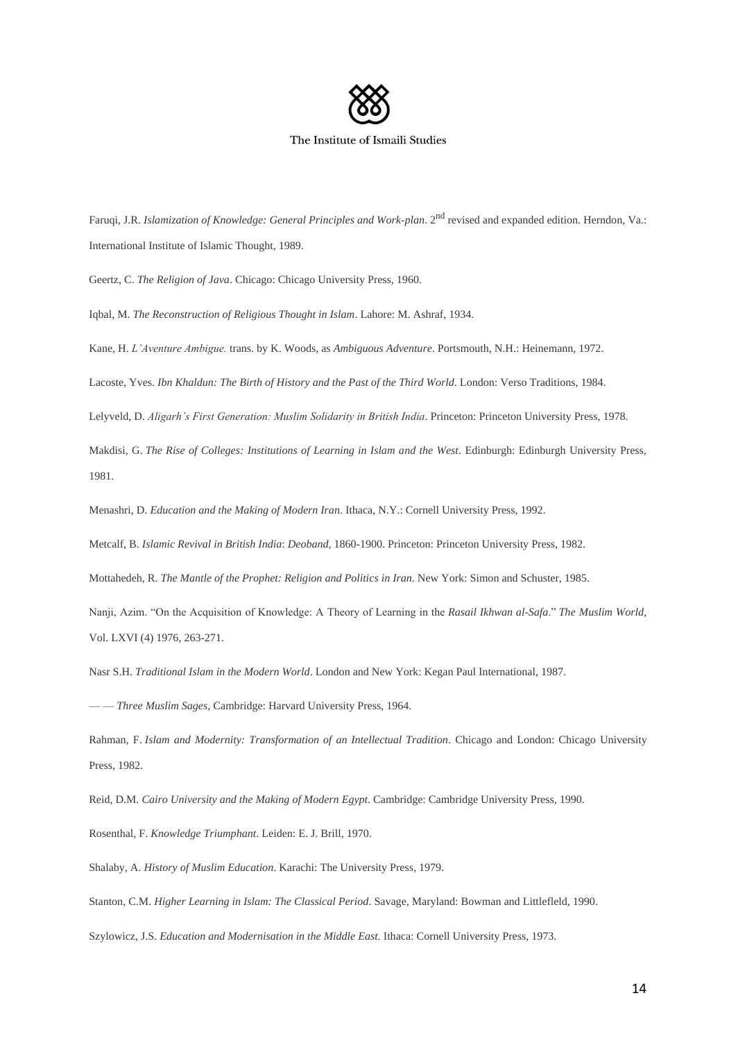

Faruqi, J.R. *Islamization of Knowledge: General Principles and Work-plan*. 2<sup>nd</sup> revised and expanded edition. Herndon, Va.: International Institute of Islamic Thought, 1989.

Geertz, C. *The Religion of Java*. Chicago: Chicago University Press, 1960.

Iqbal, M. *The Reconstruction of Religious Thought in Islam*. Lahore: M. Ashraf, 1934.

Kane, H. *L'Aventure Ambigue.* trans. by K. Woods, as *Ambiguous Adventure*. Portsmouth, N.H.: Heinemann, 1972.

Lacoste, Yves. *Ibn Khaldun: The Birth of History and the Past of the Third World*. London: Verso Traditions, 1984.

Lelyveld, D. *Aligarh's First Generation: Muslim Solidarity in British India*. Princeton: Princeton University Press, 1978.

Makdisi, G. *The Rise of Colleges: Institutions of Learning in Islam and the West*. Edinburgh: Edinburgh University Press, 1981.

Menashri, D. *Education and the Making of Modern Iran*. Ithaca, N.Y.: Cornell University Press, 1992.

Metcalf, B. *Islamic Revival in British India*: *Deoband*, 1860-1900. Princeton: Princeton University Press, 1982.

Mottahedeh, R. *The Mantle of the Prophet: Religion and Politics in Iran*. New York: Simon and Schuster, 1985.

Nanji, Azim. "On the Acquisition of Knowledge: A Theory of Learning in the *Rasail Ikhwan al-Safa*." *The Muslim World*, Vol. LXVI (4) 1976, 263-271.

Nasr S.H. *Traditional Islam in the Modern World*. London and New York: Kegan Paul International, 1987.

— — *Three Muslim Sages*, Cambridge: Harvard University Press, 1964.

Rahman, F. *Islam and Modernity: Transformation of an Intellectual Tradition*. Chicago and London: Chicago University Press, 1982.

Reid, D.M. *Cairo University and the Making of Modern Egypt*. Cambridge: Cambridge University Press, 1990.

Rosenthal, F. *Knowledge Triumphant*. Leiden: E. J. Brill, 1970.

Shalaby, A. *History of Muslim Education*. Karachi: The University Press, 1979.

Stanton, C.M. *Higher Learning in Islam: The Classical Period*. Savage, Maryland: Bowman and Littlefleld, 1990.

Szylowicz, J.S. *Education and Modernisation in the Middle East.* Ithaca: Cornell University Press, 1973.